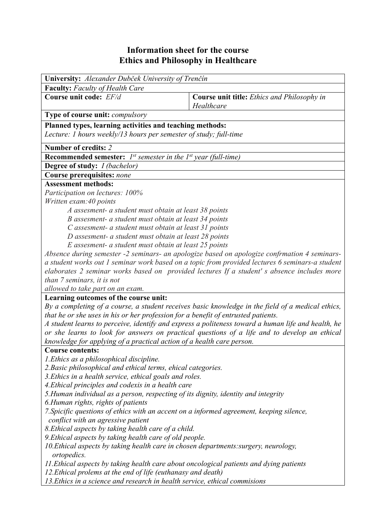## **Information sheet for the course Ethics and Philosophy in Healthcare**

| University: Alexander Dubček University of Trenčín                                                             |                                                                                                    |  |  |  |  |  |
|----------------------------------------------------------------------------------------------------------------|----------------------------------------------------------------------------------------------------|--|--|--|--|--|
| <b>Faculty:</b> Faculty of Health Care                                                                         |                                                                                                    |  |  |  |  |  |
| Course unit code: EF/d                                                                                         | <b>Course unit title:</b> Ethics and Philosophy in<br>Healthcare                                   |  |  |  |  |  |
| <b>Type of course unit: compulsory</b>                                                                         |                                                                                                    |  |  |  |  |  |
| Planned types, learning activities and teaching methods:                                                       |                                                                                                    |  |  |  |  |  |
| Lecture: 1 hours weekly/13 hours per semester of study; full-time                                              |                                                                                                    |  |  |  |  |  |
|                                                                                                                |                                                                                                    |  |  |  |  |  |
| Number of credits: 2                                                                                           |                                                                                                    |  |  |  |  |  |
| <b>Recommended semester:</b> $I^{st}$ semester in the $I^{st}$ year (full-time)                                |                                                                                                    |  |  |  |  |  |
| <b>Degree of study:</b> <i>I (bachelor)</i>                                                                    |                                                                                                    |  |  |  |  |  |
| Course prerequisites: none                                                                                     |                                                                                                    |  |  |  |  |  |
| <b>Assessment methods:</b>                                                                                     |                                                                                                    |  |  |  |  |  |
| Participation on lectures: 100%                                                                                |                                                                                                    |  |  |  |  |  |
| Written exam: 40 points                                                                                        |                                                                                                    |  |  |  |  |  |
| A assesment- a student must obtain at least 38 points<br>B assesment- a student must obtain at least 34 points |                                                                                                    |  |  |  |  |  |
| C assesment- a student must obtain at least 31 points                                                          |                                                                                                    |  |  |  |  |  |
| D assesment- a student must obtain at least 28 points                                                          |                                                                                                    |  |  |  |  |  |
| E assesment- a student must obtain at least 25 points                                                          |                                                                                                    |  |  |  |  |  |
| Absence during semester -2 seminars- an apologize based on apologize confrmation 4 seminars-                   |                                                                                                    |  |  |  |  |  |
| a student works out 1 seminar work based on a topic from provided lectures 6 seminars-a student                |                                                                                                    |  |  |  |  |  |
| elaborates 2 seminar works based on provided lectures If a student's absence includes more                     |                                                                                                    |  |  |  |  |  |
| than 7 seminars, it is not                                                                                     |                                                                                                    |  |  |  |  |  |
| allowed to take part on an exam.                                                                               |                                                                                                    |  |  |  |  |  |
| Learning outcomes of the course unit:                                                                          |                                                                                                    |  |  |  |  |  |
| By a completing of a course, a student receives basic knowledge in the field of a medical ethics,              |                                                                                                    |  |  |  |  |  |
| that he or she uses in his or her profession for a benefit of entrusted patients.                              |                                                                                                    |  |  |  |  |  |
|                                                                                                                | A student learns to perceive, identify and express a politeness toward a human life and health, he |  |  |  |  |  |
|                                                                                                                | or she learns to look for answers on practical questions of a life and to develop an ethical       |  |  |  |  |  |
| knowledge for applying of a practical action of a health care person.                                          |                                                                                                    |  |  |  |  |  |
| <b>Course contents:</b>                                                                                        |                                                                                                    |  |  |  |  |  |
| 1. Ethics as a philosophical discipline.                                                                       |                                                                                                    |  |  |  |  |  |
| 2. Basic philosophical and ethical terms, ehical categories.                                                   |                                                                                                    |  |  |  |  |  |
| 3. Ethics in a health service, ethical goals and roles.                                                        |                                                                                                    |  |  |  |  |  |
| 4. Ethical principles and codexis in a health care                                                             |                                                                                                    |  |  |  |  |  |
| 5. Human individual as a person, respecting of its dignity, identity and integrity                             |                                                                                                    |  |  |  |  |  |
| 6. Human rights, rights of patients                                                                            |                                                                                                    |  |  |  |  |  |
| 7. Spicific questions of ethics with an accent on a informed agreement, keeping silence,                       |                                                                                                    |  |  |  |  |  |
| conflict with an agressive patient                                                                             |                                                                                                    |  |  |  |  |  |
| 8. Ethical aspects by taking health care of a child.                                                           |                                                                                                    |  |  |  |  |  |
| 9. Ethical aspects by taking health care of old people.                                                        |                                                                                                    |  |  |  |  |  |
| 10. Ethical aspects by taking health care in chosen departments: surgery, neurology,<br>ortopedics.            |                                                                                                    |  |  |  |  |  |
| 11. Ethical aspects by taking health care about oncological patients and dying patients                        |                                                                                                    |  |  |  |  |  |
| 12. Ethical prolems at the end of life (euthanasy and death)                                                   |                                                                                                    |  |  |  |  |  |
| 13. Ethics in a science and research in health service, ethical commisions                                     |                                                                                                    |  |  |  |  |  |